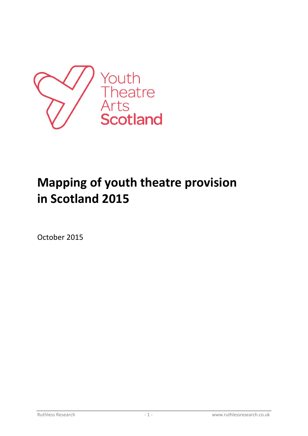

# **Mapping of youth theatre provision in Scotland 2015**

October 2015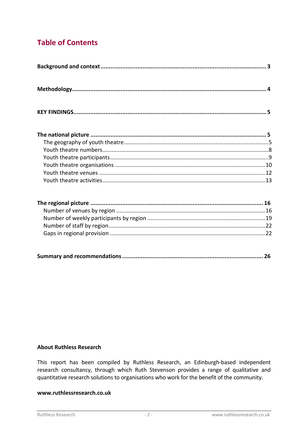# **Table of Contents**

|--|--|

#### **About Ruthless Research**

This report has been compiled by Ruthless Research, an Edinburgh-based independent research consultancy, through which Ruth Stevenson provides a range of qualitative and quantitative research solutions to organisations who work for the benefit of the community.

#### www.ruthlessresearch.co.uk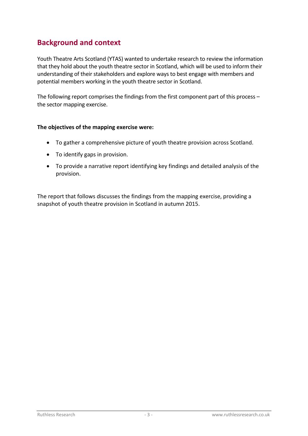# <span id="page-2-0"></span>**Background and context**

Youth Theatre Arts Scotland (YTAS) wanted to undertake research to review the information that they hold about the youth theatre sector in Scotland, which will be used to inform their understanding of their stakeholders and explore ways to best engage with members and potential members working in the youth theatre sector in Scotland.

The following report comprises the findings from the first component part of this process – the sector mapping exercise.

#### **The objectives of the mapping exercise were:**

- To gather a comprehensive picture of youth theatre provision across Scotland.
- To identify gaps in provision.
- To provide a narrative report identifying key findings and detailed analysis of the provision.

The report that follows discusses the findings from the mapping exercise, providing a snapshot of youth theatre provision in Scotland in autumn 2015.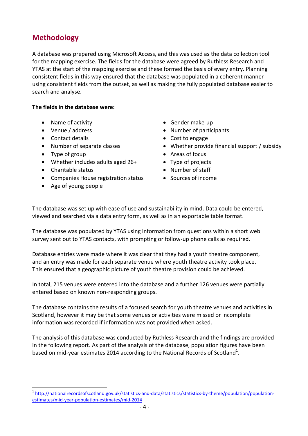## <span id="page-3-0"></span>**Methodology**

A database was prepared using Microsoft Access, and this was used as the data collection tool for the mapping exercise. The fields for the database were agreed by Ruthless Research and YTAS at the start of the mapping exercise and these formed the basis of every entry. Planning consistent fields in this way ensured that the database was populated in a coherent manner using consistent fields from the outset, as well as making the fully populated database easier to search and analyse.

#### **The fields in the database were:**

- Name of activity
- Venue / address
- Contact details
- Number of separate classes
- Type of group

 $\overline{a}$ 

- Whether includes adults aged 26+
- Charitable status
- Companies House registration status
- Age of young people
- Gender make-up
- Number of participants
- Cost to engage
- Whether provide financial support / subsidy
- Areas of focus
- Type of projects
- Number of staff
- Sources of income

The database was set up with ease of use and sustainability in mind. Data could be entered, viewed and searched via a data entry form, as well as in an exportable table format.

The database was populated by YTAS using information from questions within a short web survey sent out to YTAS contacts, with prompting or follow-up phone calls as required.

Database entries were made where it was clear that they had a youth theatre component, and an entry was made for each separate venue where youth theatre activity took place. This ensured that a geographic picture of youth theatre provision could be achieved.

In total, 215 venues were entered into the database and a further 126 venues were partially entered based on known non-responding groups.

The database contains the results of a focused search for youth theatre venues and activities in Scotland, however it may be that some venues or activities were missed or incomplete information was recorded if information was not provided when asked.

The analysis of this database was conducted by Ruthless Research and the findings are provided in the following report. As part of the analysis of the database, population figures have been based on mid-year estimates 2014 according to the National Records of Scotland<sup>1</sup>.

<sup>&</sup>lt;sup>1</sup> [http://nationalrecordsofscotland.gov.uk/statistics-and-data/statistics/statistics-by-theme/population/population](http://nationalrecordsofscotland.gov.uk/statistics-and-data/statistics/statistics-by-theme/population/population-estimates/mid-year-population-estimates/mid-2014)[estimates/mid-year-population-estimates/mid-2014](http://nationalrecordsofscotland.gov.uk/statistics-and-data/statistics/statistics-by-theme/population/population-estimates/mid-year-population-estimates/mid-2014)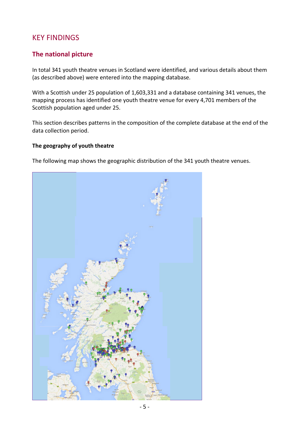## <span id="page-4-0"></span>KEY FINDINGS

### <span id="page-4-1"></span>**The national picture**

In total 341 youth theatre venues in Scotland were identified, and various details about them (as described above) were entered into the mapping database.

With a Scottish under 25 population of 1,603,331 and a database containing 341 venues, the mapping process has identified one youth theatre venue for every 4,701 members of the Scottish population aged under 25.

This section describes patterns in the composition of the complete database at the end of the data collection period.

#### <span id="page-4-2"></span>**The geography of youth theatre**

The following map shows the geographic distribution of the 341 youth theatre venues.

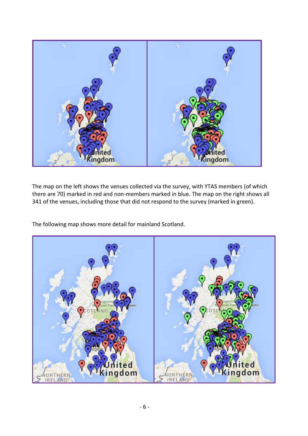

The map on the left shows the venues collected via the survey, with YTAS members (of which there are 70) marked in red and non-members marked in blue. The map on the right shows all 341 of the venues, including those that did not respond to the survey (marked in green).

The following map shows more detail for mainland Scotland.

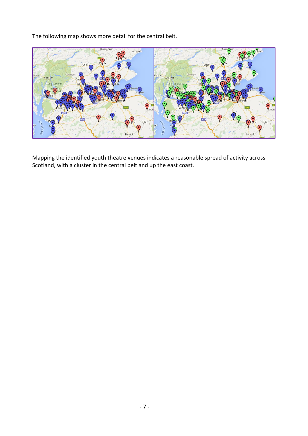The following map shows more detail for the central belt.



Mapping the identified youth theatre venues indicates a reasonable spread of activity across Scotland, with a cluster in the central belt and up the east coast.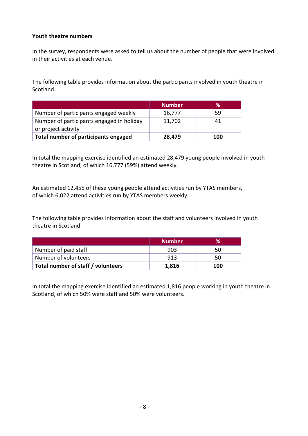#### <span id="page-7-0"></span>**Youth theatre numbers**

In the survey, respondents were asked to tell us about the number of people that were involved in their activities at each venue.

The following table provides information about the participants involved in youth theatre in Scotland.

|                                           | <b>Number</b> | $\%$ |
|-------------------------------------------|---------------|------|
| Number of participants engaged weekly     | 16,777        | 59   |
| Number of participants engaged in holiday | 11,702        | 41   |
| or project activity                       |               |      |
| Total number of participants engaged      | 28,479        | 100  |

In total the mapping exercise identified an estimated 28,479 young people involved in youth theatre in Scotland, of which 16,777 (59%) attend weekly.

An estimated 12,455 of these young people attend activities run by YTAS members, of which 6,022 attend activities run by YTAS members weekly.

The following table provides information about the staff and volunteers involved in youth theatre in Scotland.

|                                    | <b>Number</b> | $\%$ |
|------------------------------------|---------------|------|
| Number of paid staff               | 903           | 50   |
| Number of volunteers               | 913           | 50   |
| Total number of staff / volunteers | 1,816         | 100  |

In total the mapping exercise identified an estimated 1,816 people working in youth theatre in Scotland, of which 50% were staff and 50% were volunteers.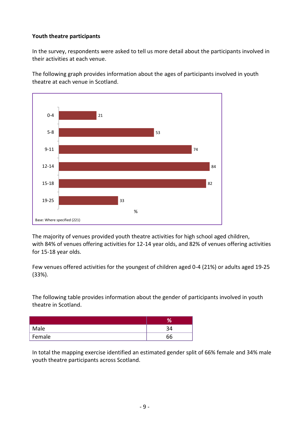#### <span id="page-8-0"></span>**Youth theatre participants**

In the survey, respondents were asked to tell us more detail about the participants involved in their activities at each venue.

The following graph provides information about the ages of participants involved in youth theatre at each venue in Scotland.



The majority of venues provided youth theatre activities for high school aged children, with 84% of venues offering activities for 12-14 year olds, and 82% of venues offering activities for 15-18 year olds.

Few venues offered activities for the youngest of children aged 0-4 (21%) or adults aged 19-25 (33%).

The following table provides information about the gender of participants involved in youth theatre in Scotland.

| Male   |    |
|--------|----|
| Female | 66 |

In total the mapping exercise identified an estimated gender split of 66% female and 34% male youth theatre participants across Scotland.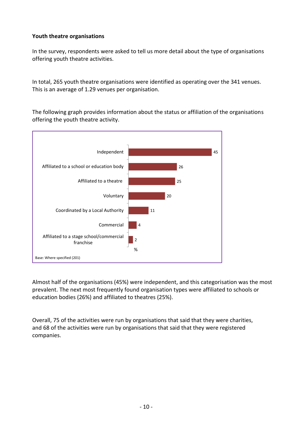#### <span id="page-9-0"></span>**Youth theatre organisations**

In the survey, respondents were asked to tell us more detail about the type of organisations offering youth theatre activities.

In total, 265 youth theatre organisations were identified as operating over the 341 venues. This is an average of 1.29 venues per organisation.

The following graph provides information about the status or affiliation of the organisations offering the youth theatre activity.



Almost half of the organisations (45%) were independent, and this categorisation was the most prevalent. The next most frequently found organisation types were affiliated to schools or education bodies (26%) and affiliated to theatres (25%).

Overall, 75 of the activities were run by organisations that said that they were charities, and 68 of the activities were run by organisations that said that they were registered companies.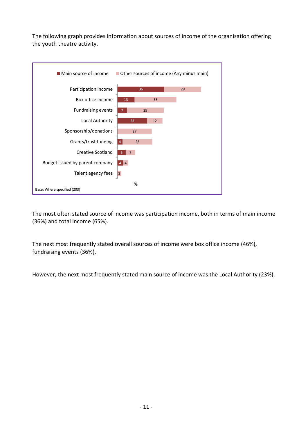The following graph provides information about sources of income of the organisation offering the youth theatre activity.



The most often stated source of income was participation income, both in terms of main income (36%) and total income (65%).

The next most frequently stated overall sources of income were box office income (46%), fundraising events (36%).

However, the next most frequently stated main source of income was the Local Authority (23%).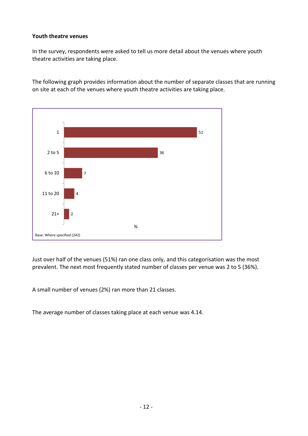#### <span id="page-11-0"></span>**Youth theatre venues**

In the survey, respondents were asked to tell us more detail about the venues where youth theatre activities are taking place.

The following graph provides information about the number of separate classes that are running on site at each of the venues where youth theatre activities are taking place.



Just over half of the venues (51%) ran one class only, and this categorisation was the most prevalent. The next most frequently stated number of classes per venue was 2 to 5 (36%).

A small number of venues (2%) ran more than 21 classes.

The average number of classes taking place at each venue was 4.14.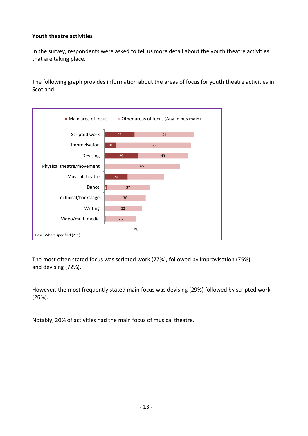#### <span id="page-12-0"></span>**Youth theatre activities**

In the survey, respondents were asked to tell us more detail about the youth theatre activities that are taking place.

The following graph provides information about the areas of focus for youth theatre activities in Scotland.



The most often stated focus was scripted work (77%), followed by improvisation (75%) and devising (72%).

However, the most frequently stated main focus was devising (29%) followed by scripted work (26%).

Notably, 20% of activities had the main focus of musical theatre.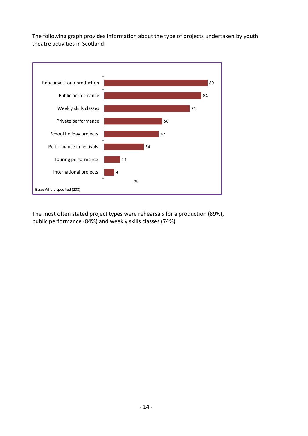The following graph provides information about the type of projects undertaken by youth theatre activities in Scotland.



The most often stated project types were rehearsals for a production (89%), public performance (84%) and weekly skills classes (74%).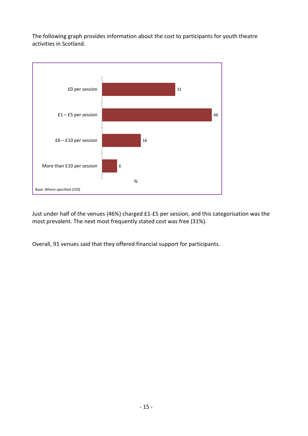The following graph provides information about the cost to participants for youth theatre activities in Scotland.



Just under half of the venues (46%) charged £1-£5 per session, and this categorisation was the most prevalent. The next most frequently stated cost was free (31%).

Overall, 91 venues said that they offered financial support for participants.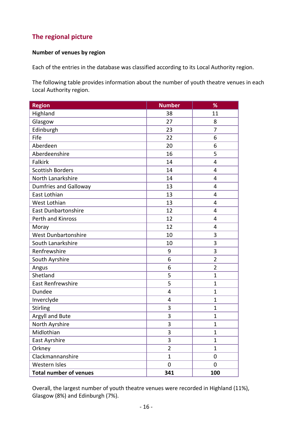## <span id="page-15-0"></span>**The regional picture**

#### <span id="page-15-1"></span>**Number of venues by region**

Each of the entries in the database was classified according to its Local Authority region.

The following table provides information about the number of youth theatre venues in each Local Authority region.

| <b>Region</b>                 | <b>Number</b>  | %              |
|-------------------------------|----------------|----------------|
| Highland                      | 38             | 11             |
| Glasgow                       | 27             | 8              |
| Edinburgh                     | 23             | 7              |
| Fife                          | 22             | 6              |
| Aberdeen                      | 20             | 6              |
| Aberdeenshire                 | 16             | 5              |
| Falkirk                       | 14             | 4              |
| <b>Scottish Borders</b>       | 14             | $\overline{4}$ |
| North Lanarkshire             | 14             | 4              |
| <b>Dumfries and Galloway</b>  | 13             | 4              |
| East Lothian                  | 13             | 4              |
| West Lothian                  | 13             | 4              |
| <b>East Dunbartonshire</b>    | 12             | 4              |
| Perth and Kinross             | 12             | 4              |
| Moray                         | 12             | $\overline{4}$ |
| <b>West Dunbartonshire</b>    | 10             | 3              |
| South Lanarkshire             | 10             | 3              |
| Renfrewshire                  | 9              | 3              |
| South Ayrshire                | 6              | $\overline{2}$ |
| Angus                         | 6              | $\overline{2}$ |
| Shetland                      | 5              | $\mathbf{1}$   |
| East Renfrewshire             | 5              | $\mathbf{1}$   |
| Dundee                        | 4              | $\mathbf{1}$   |
| Inverclyde                    | 4              | $\mathbf{1}$   |
| Stirling                      | 3              | $\mathbf{1}$   |
| Argyll and Bute               | 3              | $\mathbf{1}$   |
| North Ayrshire                | 3              | $\overline{1}$ |
| Midlothian                    | 3              | 1              |
| East Ayrshire                 | 3              | $\mathbf{1}$   |
| Orkney                        | $\overline{2}$ | $\mathbf{1}$   |
| Clackmannanshire              | $\mathbf{1}$   | $\mathbf 0$    |
| Western Isles                 | $\overline{0}$ | $\mathbf 0$    |
| <b>Total number of venues</b> | 341            | 100            |

Overall, the largest number of youth theatre venues were recorded in Highland (11%), Glasgow (8%) and Edinburgh (7%).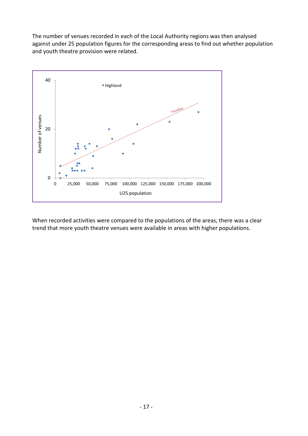The number of venues recorded in each of the Local Authority regions was then analysed against under 25 population figures for the corresponding areas to find out whether population and youth theatre provision were related.



When recorded activities were compared to the populations of the areas, there was a clear trend that more youth theatre venues were available in areas with higher populations.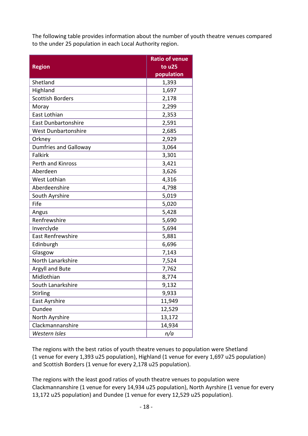The following table provides information about the number of youth theatre venues compared to the under 25 population in each Local Authority region.

|                              | <b>Ratio of venue</b> |
|------------------------------|-----------------------|
| <b>Region</b>                | to u25                |
| Shetland                     | population<br>1,393   |
| Highland                     | 1,697                 |
| <b>Scottish Borders</b>      |                       |
| Moray                        | 2,178                 |
| East Lothian                 | 2,299<br>2,353        |
| <b>East Dunbartonshire</b>   |                       |
|                              | 2,591                 |
| West Dunbartonshire          | 2,685                 |
| Orkney                       | 2,929                 |
| <b>Dumfries and Galloway</b> | 3,064                 |
| <b>Falkirk</b>               | 3,301                 |
| Perth and Kinross            | 3,421                 |
| Aberdeen                     | 3,626                 |
| West Lothian                 | 4,316                 |
| Aberdeenshire                | 4,798                 |
| South Ayrshire               | 5,019                 |
| Fife                         | 5,020                 |
| Angus                        | 5,428                 |
| Renfrewshire                 | 5,690                 |
| Inverclyde                   | 5,694                 |
| <b>East Renfrewshire</b>     | 5,881                 |
| Edinburgh                    | 6,696                 |
| Glasgow                      | 7,143                 |
| North Lanarkshire            | 7,524                 |
| Argyll and Bute              | 7,762                 |
| Midlothian                   | 8,774                 |
| South Lanarkshire            | 9,132                 |
| <b>Stirling</b>              | 9,933                 |
| East Ayrshire                | 11,949                |
| Dundee                       | 12,529                |
| North Ayrshire               | 13,172                |
| Clackmannanshire             | 14,934                |
| Western Isles                | n/a                   |

The regions with the best ratios of youth theatre venues to population were Shetland (1 venue for every 1,393 u25 population), Highland (1 venue for every 1,697 u25 population) and Scottish Borders (1 venue for every 2,178 u25 population).

The regions with the least good ratios of youth theatre venues to population were Clackmannanshire (1 venue for every 14,934 u25 population), North Ayrshire (1 venue for every 13,172 u25 population) and Dundee (1 venue for every 12,529 u25 population).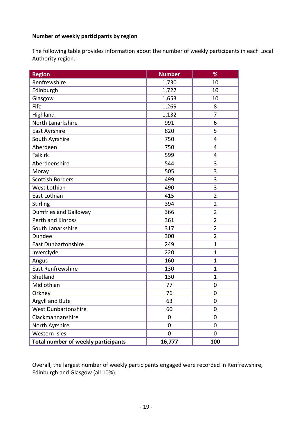#### <span id="page-18-0"></span>**Number of weekly participants by region**

The following table provides information about the number of weekly participants in each Local Authority region.

| <b>Region</b>                              | <b>Number</b> | %              |
|--------------------------------------------|---------------|----------------|
| Renfrewshire                               | 1,730         | 10             |
| Edinburgh                                  | 1,727         | 10             |
| Glasgow                                    | 1,653         | 10             |
| Fife                                       | 1,269         | 8              |
| Highland                                   | 1,132         | 7              |
| North Lanarkshire                          | 991           | 6              |
| East Ayrshire                              | 820           | 5              |
| South Ayrshire                             | 750           | $\overline{4}$ |
| Aberdeen                                   | 750           | $\overline{4}$ |
| <b>Falkirk</b>                             | 599           | 4              |
| Aberdeenshire                              | 544           | 3              |
| Moray                                      | 505           | 3              |
| <b>Scottish Borders</b>                    | 499           | 3              |
| West Lothian                               | 490           | 3              |
| East Lothian                               | 415           | $\overline{2}$ |
| Stirling                                   | 394           | $\overline{2}$ |
| <b>Dumfries and Galloway</b>               | 366           | $\overline{2}$ |
| Perth and Kinross                          | 361           | $\overline{2}$ |
| South Lanarkshire                          | 317           | $\overline{2}$ |
| <b>Dundee</b>                              | 300           | $\overline{2}$ |
| <b>East Dunbartonshire</b>                 | 249           | $\mathbf{1}$   |
| Inverclyde                                 | 220           | $\mathbf{1}$   |
| Angus                                      | 160           | $\mathbf{1}$   |
| <b>East Renfrewshire</b>                   | 130           | $\mathbf{1}$   |
| Shetland                                   | 130           | $\mathbf{1}$   |
| Midlothian                                 | 77            | 0              |
| Orkney                                     | 76            | $\mathbf 0$    |
| Argyll and Bute                            | 63            | $\mathbf 0$    |
| West Dunbartonshire                        | 60            | $\overline{0}$ |
| Clackmannanshire                           | 0             | 0              |
| North Ayrshire                             | 0             | 0              |
| Western Isles                              | 0             | $\mathbf{0}$   |
| <b>Total number of weekly participants</b> | 16,777        | 100            |

Overall, the largest number of weekly participants engaged were recorded in Renfrewshire, Edinburgh and Glasgow (all 10%).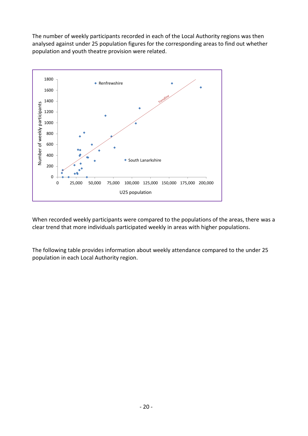The number of weekly participants recorded in each of the Local Authority regions was then analysed against under 25 population figures for the corresponding areas to find out whether population and youth theatre provision were related.



When recorded weekly participants were compared to the populations of the areas, there was a clear trend that more individuals participated weekly in areas with higher populations.

The following table provides information about weekly attendance compared to the under 25 population in each Local Authority region.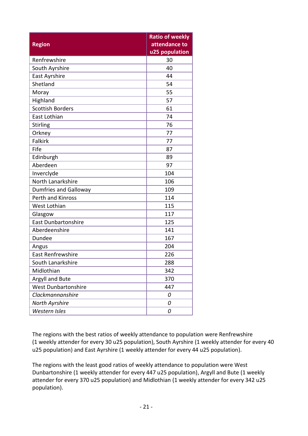|                              | <b>Ratio of weekly</b> |
|------------------------------|------------------------|
| <b>Region</b>                | attendance to          |
|                              | u25 population         |
| Renfrewshire                 | 30                     |
| South Ayrshire               | 40                     |
| East Ayrshire                | 44                     |
| Shetland                     | 54                     |
| Moray                        | 55                     |
| Highland                     | 57                     |
| <b>Scottish Borders</b>      | 61                     |
| East Lothian                 | 74                     |
| <b>Stirling</b>              | 76                     |
| Orkney                       | 77                     |
| <b>Falkirk</b>               | 77                     |
| Fife                         | 87                     |
| Edinburgh                    | 89                     |
| Aberdeen                     | 97                     |
| Inverclyde                   | 104                    |
| North Lanarkshire            | 106                    |
| <b>Dumfries and Galloway</b> | 109                    |
| Perth and Kinross            | 114                    |
| West Lothian                 | 115                    |
| Glasgow                      | 117                    |
| <b>East Dunbartonshire</b>   | 125                    |
| Aberdeenshire                | 141                    |
| Dundee                       | 167                    |
| Angus                        | 204                    |
| <b>East Renfrewshire</b>     | 226                    |
| South Lanarkshire            | 288                    |
| Midlothian                   | 342                    |
| Argyll and Bute              | 370                    |
| <b>West Dunbartonshire</b>   | 447                    |
| Clackmannanshire             | 0                      |
| North Ayrshire               | 0                      |
| Western Isles                | 0                      |

The regions with the best ratios of weekly attendance to population were Renfrewshire (1 weekly attender for every 30 u25 population), South Ayrshire (1 weekly attender for every 40 u25 population) and East Ayrshire (1 weekly attender for every 44 u25 population).

The regions with the least good ratios of weekly attendance to population were West Dunbartonshire (1 weekly attender for every 447 u25 population), Argyll and Bute (1 weekly attender for every 370 u25 population) and Midlothian (1 weekly attender for every 342 u25 population).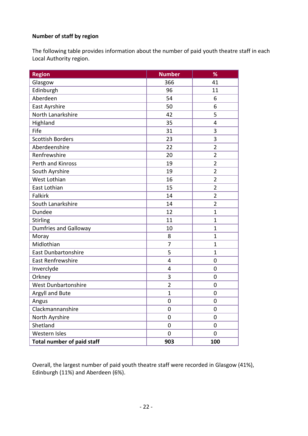#### <span id="page-21-0"></span>**Number of staff by region**

The following table provides information about the number of paid youth theatre staff in each Local Authority region.

| <b>Region</b>                     | <b>Number</b>    | %                |
|-----------------------------------|------------------|------------------|
| Glasgow                           | 366              | 41               |
| Edinburgh                         | 96               | 11               |
| Aberdeen                          | 54               | 6                |
| East Ayrshire                     | 50               | 6                |
| North Lanarkshire                 | 42               | 5                |
| Highland                          | 35               | 4                |
| Fife                              | 31               | 3                |
| <b>Scottish Borders</b>           | 23               | 3                |
| Aberdeenshire                     | 22               | $\overline{2}$   |
| Renfrewshire                      | 20               | $\overline{2}$   |
| Perth and Kinross                 | 19               | $\overline{2}$   |
| South Ayrshire                    | 19               | $\overline{2}$   |
| West Lothian                      | 16               | $\overline{2}$   |
| East Lothian                      | 15               | $\overline{2}$   |
| <b>Falkirk</b>                    | 14               | $\overline{2}$   |
| South Lanarkshire                 | 14               | $\overline{2}$   |
| Dundee                            | 12               | $\mathbf{1}$     |
| <b>Stirling</b>                   | 11               | $\mathbf{1}$     |
| <b>Dumfries and Galloway</b>      | 10               | $\mathbf{1}$     |
| Moray                             | 8                | $\mathbf{1}$     |
| Midlothian                        | 7                | $\mathbf{1}$     |
| <b>East Dunbartonshire</b>        | 5                | $\mathbf{1}$     |
| East Renfrewshire                 | 4                | 0                |
| Inverclyde                        | 4                | $\mathbf 0$      |
| Orkney                            | 3                | $\mathbf 0$      |
| <b>West Dunbartonshire</b>        | $\overline{2}$   | $\mathbf 0$      |
| Argyll and Bute                   | $\mathbf{1}$     | $\mathbf 0$      |
| Angus                             | $\boldsymbol{0}$ | $\boldsymbol{0}$ |
| Clackmannanshire                  | 0                | 0                |
| North Ayrshire                    | 0                | 0                |
| Shetland                          | 0                | 0                |
| Western Isles                     | 0                | $\overline{0}$   |
| <b>Total number of paid staff</b> | 903              | 100              |

Overall, the largest number of paid youth theatre staff were recorded in Glasgow (41%), Edinburgh (11%) and Aberdeen (6%).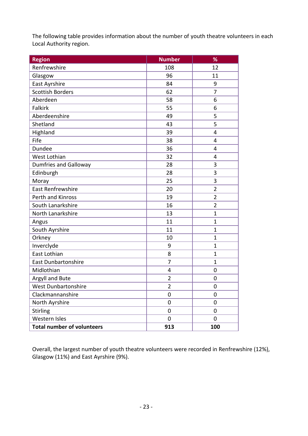The following table provides information about the number of youth theatre volunteers in each Local Authority region.

| <b>Region</b>                     | <b>Number</b>  | %                |
|-----------------------------------|----------------|------------------|
| Renfrewshire                      | 108            | 12               |
| Glasgow                           | 96             | 11               |
| East Ayrshire                     | 84             | 9                |
| <b>Scottish Borders</b>           | 62             | 7                |
| Aberdeen                          | 58             | 6                |
| Falkirk                           | 55             | 6                |
| Aberdeenshire                     | 49             | 5                |
| Shetland                          | 43             | 5                |
| Highland                          | 39             | $\overline{4}$   |
| Fife                              | 38             | $\overline{4}$   |
| Dundee                            | 36             | $\overline{4}$   |
| West Lothian                      | 32             | 4                |
| <b>Dumfries and Galloway</b>      | 28             | 3                |
| Edinburgh                         | 28             | 3                |
| Moray                             | 25             | 3                |
| <b>East Renfrewshire</b>          | 20             | $\overline{2}$   |
| Perth and Kinross                 | 19             | $\overline{2}$   |
| South Lanarkshire                 | 16             | $\overline{2}$   |
| North Lanarkshire                 | 13             | $\mathbf{1}$     |
| Angus                             | 11             | $\mathbf{1}$     |
| South Ayrshire                    | 11             | $\mathbf{1}$     |
| Orkney                            | 10             | $\overline{1}$   |
| Inverclyde                        | 9              | $\mathbf{1}$     |
| East Lothian                      | 8              | $\mathbf{1}$     |
| <b>East Dunbartonshire</b>        | $\overline{7}$ | $\mathbf{1}$     |
| Midlothian                        | 4              | 0                |
| Argyll and Bute                   | $\overline{2}$ | $\mathbf 0$      |
| West Dunbartonshire               | $\overline{2}$ | $\boldsymbol{0}$ |
| Clackmannanshire                  | 0              | 0                |
| North Ayrshire                    | 0              | 0                |
| <b>Stirling</b>                   | 0              | 0                |
| Western Isles                     | 0              | $\mathbf 0$      |
| <b>Total number of volunteers</b> | 913            | 100              |

Overall, the largest number of youth theatre volunteers were recorded in Renfrewshire (12%), Glasgow (11%) and East Ayrshire (9%).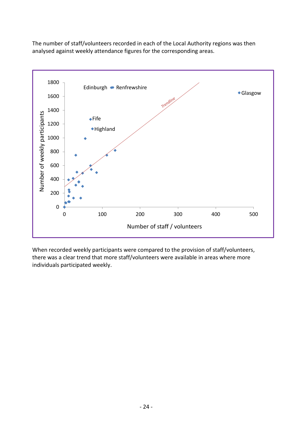The number of staff/volunteers recorded in each of the Local Authority regions was then analysed against weekly attendance figures for the corresponding areas.



When recorded weekly participants were compared to the provision of staff/volunteers, there was a clear trend that more staff/volunteers were available in areas where more individuals participated weekly.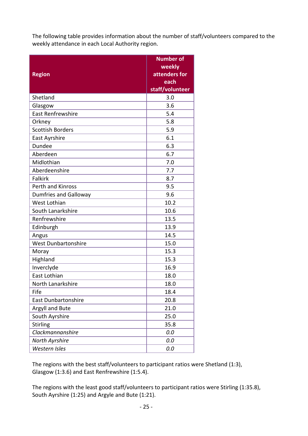The following table provides information about the number of staff/volunteers compared to the weekly attendance in each Local Authority region.

| <b>Region</b>                | <b>Number of</b><br>weekly<br>attenders for<br>each<br>staff/volunteer |
|------------------------------|------------------------------------------------------------------------|
| Shetland                     | 3.0                                                                    |
| Glasgow                      | 3.6                                                                    |
| <b>East Renfrewshire</b>     | 5.4                                                                    |
| Orkney                       | 5.8                                                                    |
| <b>Scottish Borders</b>      | 5.9                                                                    |
| East Ayrshire                | 6.1                                                                    |
| Dundee                       | 6.3                                                                    |
| Aberdeen                     | 6.7                                                                    |
| Midlothian                   | 7.0                                                                    |
| Aberdeenshire                | 7.7                                                                    |
| <b>Falkirk</b>               | 8.7                                                                    |
| Perth and Kinross            | 9.5                                                                    |
| <b>Dumfries and Galloway</b> | 9.6                                                                    |
| West Lothian                 | 10.2                                                                   |
| South Lanarkshire            | 10.6                                                                   |
| Renfrewshire                 | 13.5                                                                   |
| Edinburgh                    | 13.9                                                                   |
| Angus                        | 14.5                                                                   |
| <b>West Dunbartonshire</b>   | 15.0                                                                   |
| Moray                        | 15.3                                                                   |
| Highland                     | 15.3                                                                   |
| Inverclyde                   | 16.9                                                                   |
| East Lothian                 | 18.0                                                                   |
| North Lanarkshire            | 18.0                                                                   |
| Fife                         | 18.4                                                                   |
| <b>East Dunbartonshire</b>   | 20.8                                                                   |
| Argyll and Bute              | 21.0                                                                   |
| South Ayrshire               | 25.0                                                                   |
| <b>Stirling</b>              | 35.8                                                                   |
| Clackmannanshire             | 0.0                                                                    |
| North Ayrshire               | 0.0                                                                    |
| Western Isles                | 0.0                                                                    |

The regions with the best staff/volunteers to participant ratios were Shetland (1:3), Glasgow (1:3.6) and East Renfrewshire (1:5.4).

The regions with the least good staff/volunteers to participant ratios were Stirling (1:35.8), South Ayrshire (1:25) and Argyle and Bute (1:21).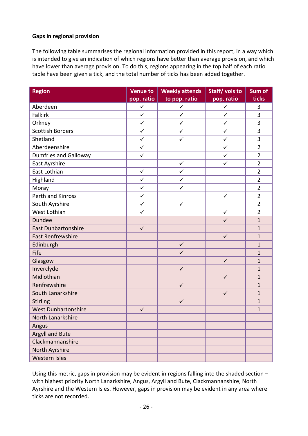#### <span id="page-25-0"></span>**Gaps in regional provision**

The following table summarises the regional information provided in this report, in a way which is intended to give an indication of which regions have better than average provision, and which have lower than average provision. To do this, regions appearing in the top half of each ratio table have been given a tick, and the total number of ticks has been added together.

| <b>Region</b>                | <b>Venue to</b> | <b>Weekly attends</b> | Staff/volsto | Sum of         |
|------------------------------|-----------------|-----------------------|--------------|----------------|
|                              | pop. ratio      | to pop. ratio         | pop. ratio   | ticks          |
| Aberdeen                     | $\checkmark$    | $\checkmark$          | $\checkmark$ | 3              |
| Falkirk                      | $\checkmark$    | $\checkmark$          | $\checkmark$ | $\overline{3}$ |
| Orkney                       | $\checkmark$    | $\checkmark$          | $\checkmark$ | 3              |
| <b>Scottish Borders</b>      | $\checkmark$    | $\checkmark$          | $\checkmark$ | 3              |
| Shetland                     | $\checkmark$    | $\checkmark$          | $\checkmark$ | 3              |
| Aberdeenshire                | $\checkmark$    |                       | $\checkmark$ | $\overline{2}$ |
| <b>Dumfries and Galloway</b> | $\checkmark$    |                       | $\checkmark$ | $\overline{2}$ |
| East Ayrshire                |                 | $\checkmark$          | $\checkmark$ | $\overline{2}$ |
| East Lothian                 | $\checkmark$    | $\checkmark$          |              | $\overline{2}$ |
| Highland                     | $\checkmark$    | $\checkmark$          |              | $\overline{2}$ |
| Moray                        | $\checkmark$    | $\checkmark$          |              | $\overline{2}$ |
| Perth and Kinross            | $\checkmark$    |                       | $\checkmark$ | $\overline{2}$ |
| South Ayrshire               | $\checkmark$    | $\checkmark$          |              | $\overline{2}$ |
| West Lothian                 | $\checkmark$    |                       | $\checkmark$ | $\overline{2}$ |
| <b>Dundee</b>                |                 |                       | $\checkmark$ | $\mathbf{1}$   |
| <b>East Dunbartonshire</b>   | $\checkmark$    |                       |              | $\mathbf{1}$   |
| <b>East Renfrewshire</b>     |                 |                       | $\checkmark$ | $\mathbf{1}$   |
| Edinburgh                    |                 | $\checkmark$          |              | $\mathbf{1}$   |
| Fife                         |                 | $\checkmark$          |              | $\mathbf{1}$   |
| Glasgow                      |                 |                       | $\checkmark$ | $\mathbf{1}$   |
| Inverclyde                   |                 | $\checkmark$          |              | $\mathbf{1}$   |
| Midlothian                   |                 |                       | $\checkmark$ | $\mathbf{1}$   |
| Renfrewshire                 |                 | $\checkmark$          |              | $\mathbf{1}$   |
| South Lanarkshire            |                 |                       | $\checkmark$ | $\mathbf{1}$   |
| Stirling                     |                 | $\checkmark$          |              | $\mathbf{1}$   |
| <b>West Dunbartonshire</b>   | $\checkmark$    |                       |              | $\mathbf{1}$   |
| North Lanarkshire            |                 |                       |              |                |
| Angus                        |                 |                       |              |                |
| Argyll and Bute              |                 |                       |              |                |
| Clackmannanshire             |                 |                       |              |                |
| North Ayrshire               |                 |                       |              |                |
| Western Isles                |                 |                       |              |                |

Using this metric, gaps in provision may be evident in regions falling into the shaded section – with highest priority North Lanarkshire, Angus, Argyll and Bute, Clackmannanshire, North Ayrshire and the Western Isles. However, gaps in provision may be evident in any area where ticks are not recorded.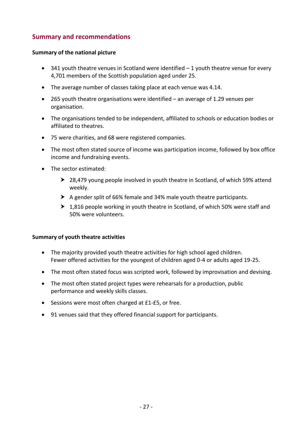## **Summary and recommendations**

#### **Summary of the national picture**

- $\bullet$  341 youth theatre venues in Scotland were identified  $-1$  youth theatre venue for every 4,701 members of the Scottish population aged under 25.
- The average number of classes taking place at each venue was 4.14.
- 265 youth theatre organisations were identified an average of 1.29 venues per organisation.
- The organisations tended to be independent, affiliated to schools or education bodies or affiliated to theatres.
- 75 were charities, and 68 were registered companies.
- The most often stated source of income was participation income, followed by box office income and fundraising events.
- The sector estimated:
	- ▶ 28,479 young people involved in youth theatre in Scotland, of which 59% attend weekly.
	- A gender split of 66% female and 34% male youth theatre participants.
	- ▶ 1,816 people working in youth theatre in Scotland, of which 50% were staff and 50% were volunteers.

#### **Summary of youth theatre activities**

- The majority provided youth theatre activities for high school aged children. Fewer offered activities for the youngest of children aged 0-4 or adults aged 19-25.
- The most often stated focus was scripted work, followed by improvisation and devising.
- The most often stated project types were rehearsals for a production, public performance and weekly skills classes.
- Sessions were most often charged at £1-£5, or free.
- 91 venues said that they offered financial support for participants.